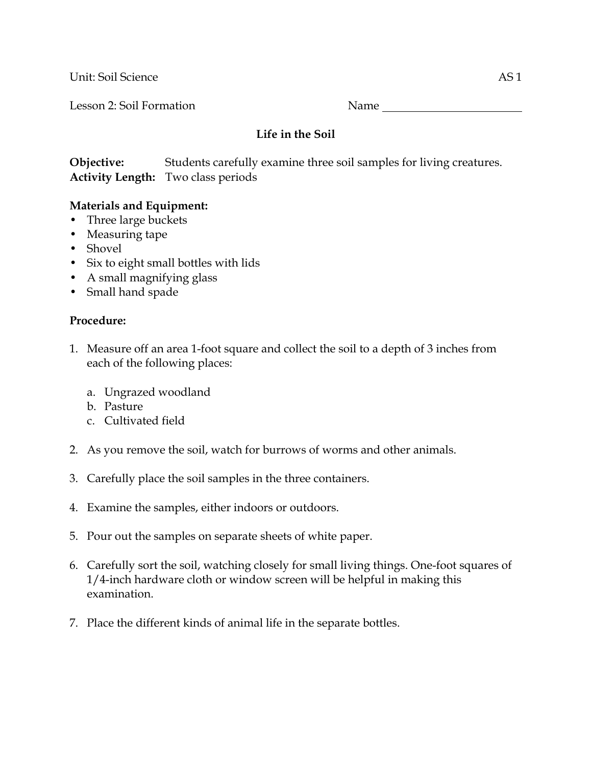Unit: Soil Science AS 1

Lesson 2: Soil Formation Name

## **Life in the Soil**

**Objective:** Students carefully examine three soil samples for living creatures. **Activity Length:** Two class periods

## **Materials and Equipment:**

- Three large buckets
- Measuring tape
- Shovel
- Six to eight small bottles with lids
- A small magnifying glass
- Small hand spade

## **Procedure:**

- 1. Measure off an area 1-foot square and collect the soil to a depth of 3 inches from each of the following places:
	- a. Ungrazed woodland
	- b. Pasture
	- c. Cultivated field
- 2. As you remove the soil, watch for burrows of worms and other animals.
- 3. Carefully place the soil samples in the three containers.
- 4. Examine the samples, either indoors or outdoors.
- 5. Pour out the samples on separate sheets of white paper.
- 6. Carefully sort the soil, watching closely for small living things. One-foot squares of 1/4-inch hardware cloth or window screen will be helpful in making this examination.
- 7. Place the different kinds of animal life in the separate bottles.